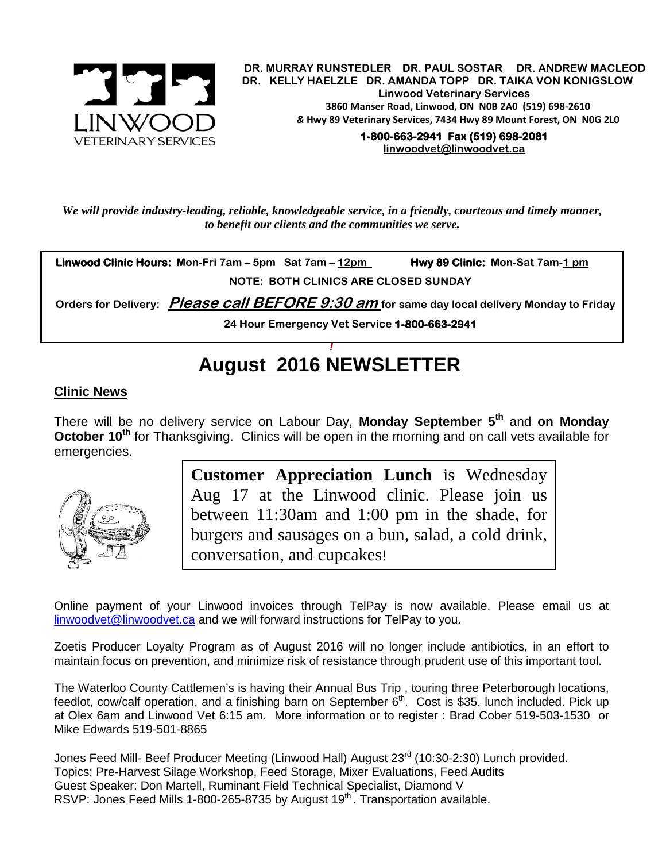

.  **DR. MURRAY RUNSTEDLER DR. PAUL SOSTAR DR. ANDREW MACLEOD DR. KELLY HAELZLE DR. AMANDA TOPP DR. TAIKA VON KONIGSLOW Linwood Veterinary Services 3860 Manser Road, Linwood, ON N0B 2A0 (519) 698-2610** *&* **Hwy 89 Veterinary Services, 7434 Hwy 89 Mount Forest, ON N0G 2L0**

**1-800-663-2941 Fax (519) 698-2081 [linwoodvet@linwoodvet.ca](mailto:linwoodvet@linwoodvet.ca)**

*We will provide industry-leading, reliable, knowledgeable service, in a friendly, courteous and timely manner, to benefit our clients and the communities we serve.*

**Linwood Clinic Hours:** Mon-Fri 7am – 5pm Sat 7am – 12pm Hwy 89 Clinic: Mon-Sat 7am-1 pm **NOTE: BOTH CLINICS ARE CLOSED SUNDAY**

 **Orders for Delivery: Please call BEFORE 9:30 am for same day local delivery Monday to Friday** 

**24 Hour Emergency Vet Service 1-800-663-2941** 

## *!* **August 2016 NEWSLETTER**

## **Clinic News**

There will be no delivery service on Labour Day, **Monday September 5th** and **on Monday October 10<sup>th</sup>** for Thanksgiving. Clinics will be open in the morning and on call vets available for emergencies.



**Customer Appreciation Lunch** is Wednesday Aug 17 at the Linwood clinic. Please join us between 11:30am and 1:00 pm in the shade, for burgers and sausages on a bun, salad, a cold drink, conversation, and cupcakes!

Online payment of your Linwood invoices through TelPay is now available. Please email us at [linwoodvet@linwoodvet.ca](mailto:linwoodvet@linwoodvet.ca) and we will forward instructions for TelPay to you.

Zoetis Producer Loyalty Program as of August 2016 will no longer include antibiotics, in an effort to maintain focus on prevention, and minimize risk of resistance through prudent use of this important tool.

The Waterloo County Cattlemen's is having their Annual Bus Trip , touring three Peterborough locations, feedlot, cow/calf operation, and a finishing barn on September 6<sup>th</sup>. Cost is \$35, lunch included. Pick up at Olex 6am and Linwood Vet 6:15 am. More information or to register : Brad Cober 519-503-1530 or Mike Edwards 519-501-8865

Jones Feed Mill- Beef Producer Meeting (Linwood Hall) August 23<sup>rd</sup> (10:30-2:30) Lunch provided. Topics: Pre-Harvest Silage Workshop, Feed Storage, Mixer Evaluations, Feed Audits Guest Speaker: Don Martell, Ruminant Field Technical Specialist, Diamond V RSVP: Jones Feed Mills 1-800-265-8735 by August 19<sup>th</sup>. Transportation available.